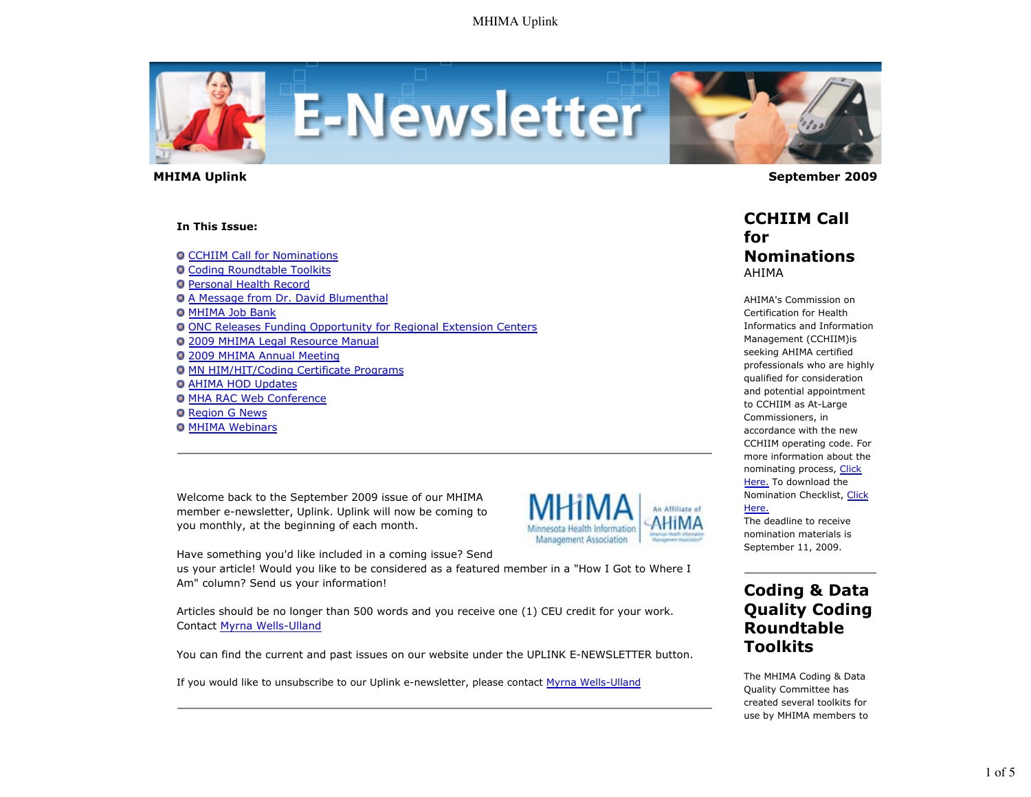

 **MHIMA Uplink September 2009** 

#### **In This Issue:**

**O CCHIIM Call for Nominations** 

- **O Coding Roundtable Toolkits**
- Personal Health Record
- A Message from Dr. David Blumenthal
- **O MHIMA Job Bank**
- ONC Releases Funding Opportunity for Regional Extension Centers
- 2009 MHIMA Legal Resource Manual
- 2009 MHIMA Annual Meeting
- MN HIM/HIT/Coding Certificate Programs
- **O AHIMA HOD Updates**
- **O MHA RAC Web Conference**
- **O** Region G News
- **O MHIMA Webinars**

Welcome back to the September 2009 issue of our MHIMA member e-newsletter, Uplink. Uplink will now be coming to you monthly, at the beginning of each month.



Have something you'd like included in a coming issue? Send

us your article! Would you like to be considered as a featured member in a "How I Got to Where I Am" column? Send us your information!

Articles should be no longer than 500 words and you receive one (1) CEU credit for your work. Contact Myrna Wells-Ulland

You can find the current and past issues on our website under the UPLINK E-NEWSLETTER button.

If you would like to unsubscribe to our Uplink e-newsletter, please contact Myrna Wells-Ulland

### **CCHIIM Call for Nominations** AHIMA

AHIMA's Commission on Certification for Health Informatics and Information Management (CCHIIM)is seeking AHIMA certified professionals who are highly qualified for consideration and potential appointment to CCHIIM as At-Large Commissioners, in accordance with the new CCHIIM operating code. For more information about the nominating process, Click Here. To download the Nomination Checklist, Click Here.

The deadline to receive nomination materials is September 11, 2009.

# **Coding & Data Quality Coding Roundtable Toolkits**

The MHIMA Coding & Data Quality Committee has created several toolkits for use by MHIMA members to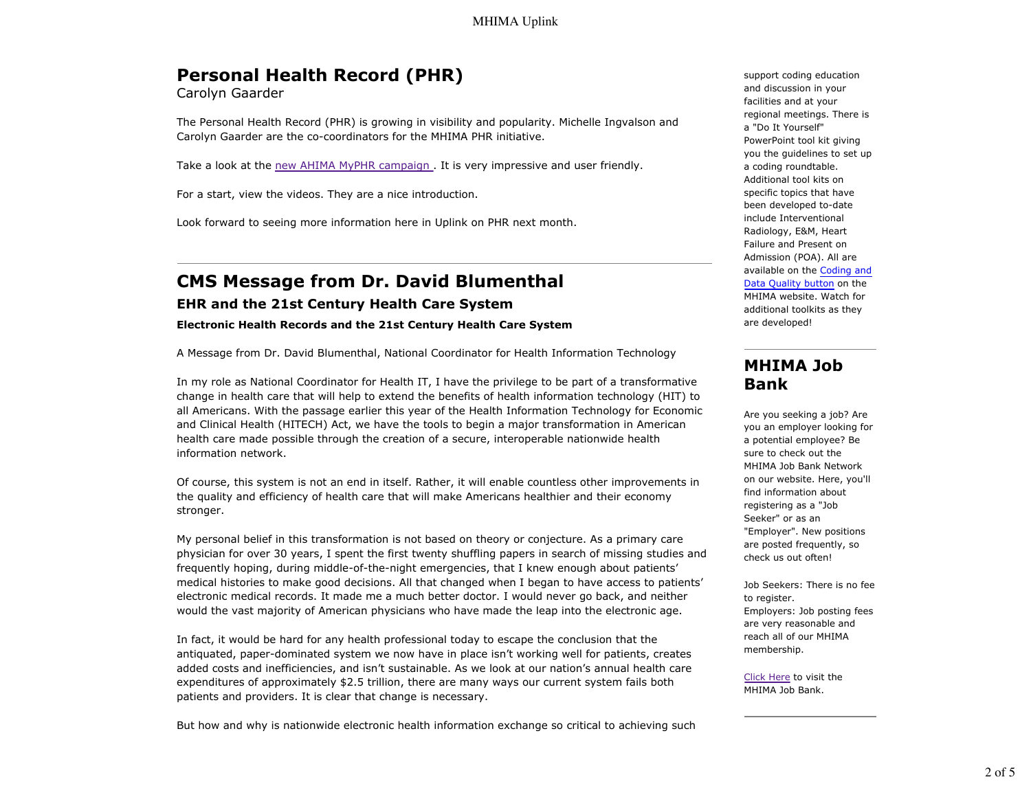# **Personal Health Record (PHR)**

Carolyn Gaarder

The Personal Health Record (PHR) is growing in visibility and popularity. Michelle Ingvalson and Carolyn Gaarder are the co-coordinators for the MHIMA PHR initiative.

Take a look at the new AHIMA MyPHR campaign . It is very impressive and user friendly.

For a start, view the videos. They are a nice introduction.

Look forward to seeing more information here in Uplink on PHR next month.

# **CMS Message from Dr. David Blumenthal**

### **EHR and the 21st Century Health Care System**

#### **Electronic Health Records and the 21st Century Health Care System**

A Message from Dr. David Blumenthal, National Coordinator for Health Information Technology

In my role as National Coordinator for Health IT, I have the privilege to be part of a transformative change in health care that will help to extend the benefits of health information technology (HIT) to all Americans. With the passage earlier this year of the Health Information Technology for Economic and Clinical Health (HITECH) Act, we have the tools to begin a major transformation in American health care made possible through the creation of a secure, interoperable nationwide health information network.

Of course, this system is not an end in itself. Rather, it will enable countless other improvements in the quality and efficiency of health care that will make Americans healthier and their economy stronger.

My personal belief in this transformation is not based on theory or conjecture. As a primary care physician for over 30 years, I spent the first twenty shuffling papers in search of missing studies and frequently hoping, during middle-of-the-night emergencies, that I knew enough about patients' medical histories to make good decisions. All that changed when I began to have access to patients' electronic medical records. It made me a much better doctor. I would never go back, and neither would the vast majority of American physicians who have made the leap into the electronic age.

In fact, it would be hard for any health professional today to escape the conclusion that the antiquated, paper-dominated system we now have in place isn't working well for patients, creates added costs and inefficiencies, and isn't sustainable. As we look at our nation's annual health care expenditures of approximately \$2.5 trillion, there are many ways our current system fails both patients and providers. It is clear that change is necessary.

But how and why is nationwide electronic health information exchange so critical to achieving such

support coding education and discussion in your facilities and at your regional meetings. There is a "Do It Yourself" PowerPoint tool kit giving you the guidelines to set up a coding roundtable. Additional tool kits on specific topics that have been developed to-date include Interventional Radiology, E&M, Heart Failure and Present on Admission (POA). All are available on the Coding and Data Quality button on the MHIMA website. Watch for additional toolkits as they are developed!

## **MHIMA Job Bank**

Are you seeking a job? Are you an employer looking for a potential employee? Be sure to check out the MHIMA Job Bank Network on our website. Here, you'll find information about registering as a "Job Seeker" or as an "Employer". New positions are posted frequently, so check us out often!

Job Seekers: There is no fee to register. Employers: Job posting fees are very reasonable and reach all of our MHIMA membership.

Click Here to visit the MHIMA Job Bank.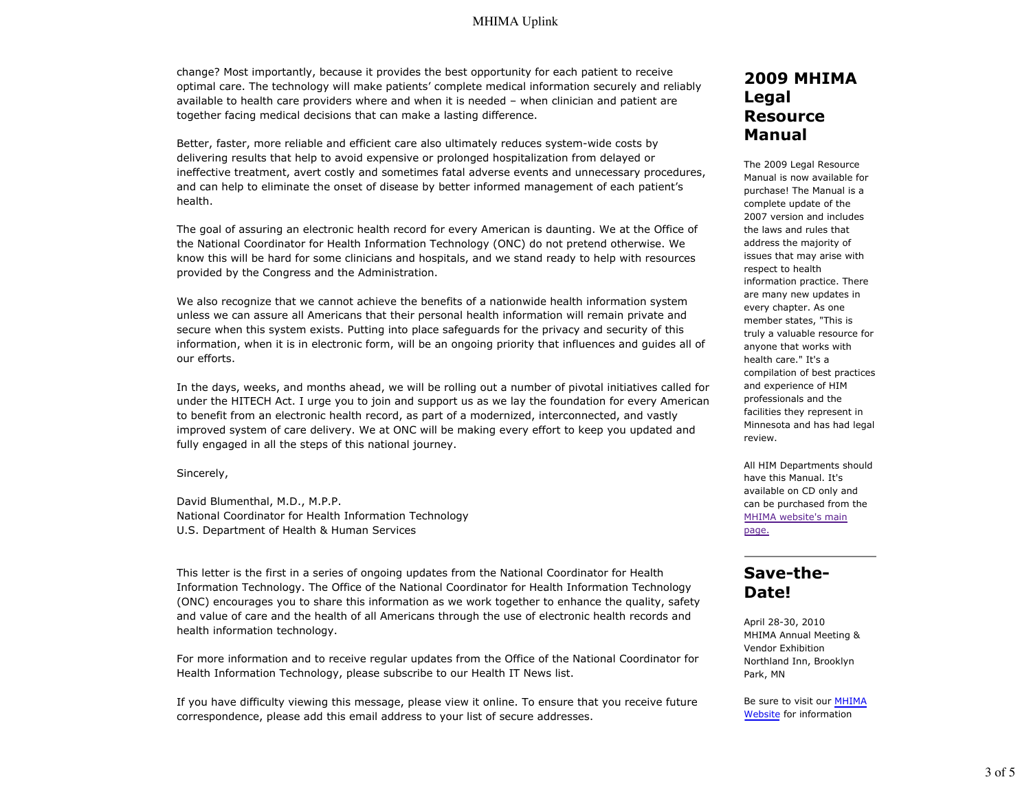### MHIMA Uplink

change? Most importantly, because it provides the best opportunity for each patient to receive optimal care. The technology will make patients' complete medical information securely and reliably available to health care providers where and when it is needed – when clinician and patient are together facing medical decisions that can make a lasting difference.

Better, faster, more reliable and efficient care also ultimately reduces system-wide costs by delivering results that help to avoid expensive or prolonged hospitalization from delayed or ineffective treatment, avert costly and sometimes fatal adverse events and unnecessary procedures, and can help to eliminate the onset of disease by better informed management of each patient's health.

The goal of assuring an electronic health record for every American is daunting. We at the Office of the National Coordinator for Health Information Technology (ONC) do not pretend otherwise. We know this will be hard for some clinicians and hospitals, and we stand ready to help with resources provided by the Congress and the Administration.

We also recognize that we cannot achieve the benefits of a nationwide health information system unless we can assure all Americans that their personal health information will remain private and secure when this system exists. Putting into place safeguards for the privacy and security of this information, when it is in electronic form, will be an ongoing priority that influences and guides all of our efforts.

In the days, weeks, and months ahead, we will be rolling out a number of pivotal initiatives called for under the HITECH Act. I urge you to join and support us as we lay the foundation for every American to benefit from an electronic health record, as part of a modernized, interconnected, and vastly improved system of care delivery. We at ONC will be making every effort to keep you updated and fully engaged in all the steps of this national journey.

#### Sincerely,

David Blumenthal, M.D., M.P.P. National Coordinator for Health Information Technology U.S. Department of Health & Human Services

This letter is the first in a series of ongoing updates from the National Coordinator for Health Information Technology. The Office of the National Coordinator for Health Information Technology (ONC) encourages you to share this information as we work together to enhance the quality, safety and value of care and the health of all Americans through the use of electronic health records and health information technology.

For more information and to receive regular updates from the Office of the National Coordinator for Health Information Technology, please subscribe to our Health IT News list.

If you have difficulty viewing this message, please view it online. To ensure that you receive future correspondence, please add this email address to your list of secure addresses.

### **2009 MHIMA Legal Resource Manual**

The 2009 Legal Resource Manual is now available for purchase! The Manual is a complete update of the 2007 version and includes the laws and rules that address the majority of issues that may arise with respect to health information practice. There are many new updates in every chapter. As one member states, "This is truly a valuable resource for anyone that works with health care." It's a compilation of best practices and experience of HIM professionals and the facilities they represent in Minnesota and has had legal review.

All HIM Departments should have this Manual. It's available on CD only and can be purchased from the MHIMA website's main page.

### **Save-the-Date!**

April 28-30, 2010 MHIMA Annual Meeting & Vendor Exhibition Northland Inn, Brooklyn Park, MN

Be sure to visit our MHIMA Website for information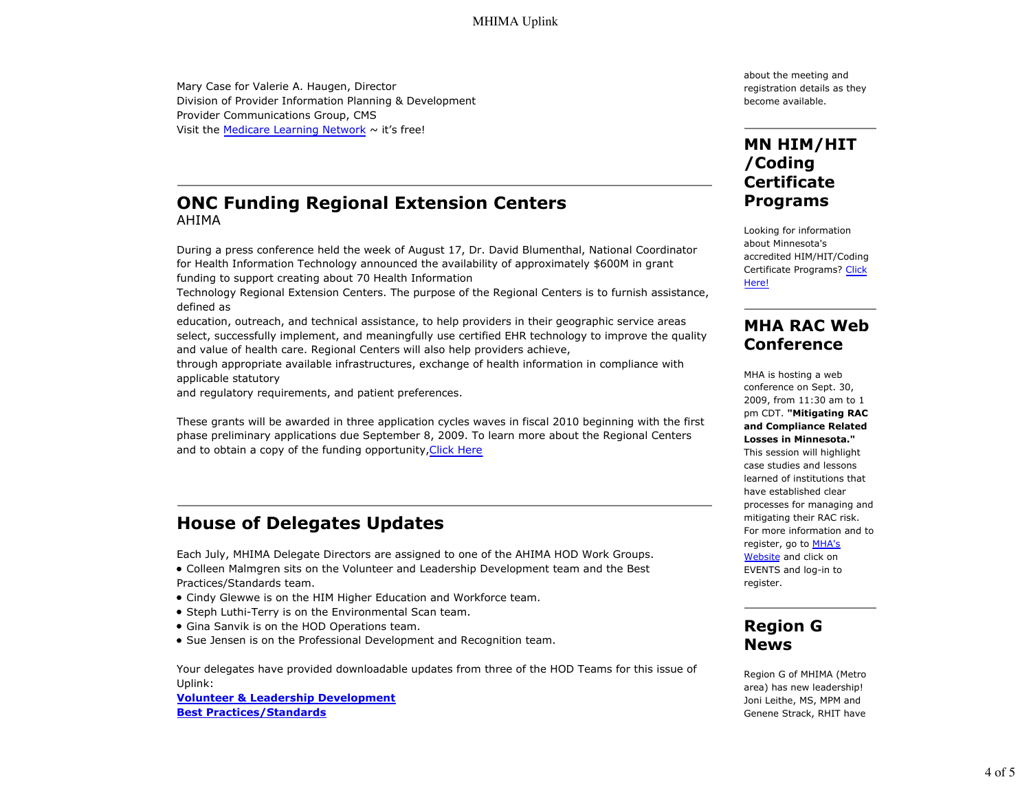Mary Case for Valerie A. Haugen, Director Division of Provider Information Planning & Development Provider Communications Group, CMS Visit the Medicare Learning Network  $\sim$  it's free!

### **ONC Funding Regional Extension Centers** AHIMA

During a press conference held the week of August 17, Dr. David Blumenthal, National Coordinator for Health Information Technology announced the availability of approximately \$600M in grant funding to support creating about 70 Health Information

Technology Regional Extension Centers. The purpose of the Regional Centers is to furnish assistance, defined as

education, outreach, and technical assistance, to help providers in their geographic service areas select, successfully implement, and meaningfully use certified EHR technology to improve the quality and value of health care. Regional Centers will also help providers achieve,

through appropriate available infrastructures, exchange of health information in compliance with applicable statutory

and regulatory requirements, and patient preferences.

These grants will be awarded in three application cycles waves in fiscal 2010 beginning with the first phase preliminary applications due September 8, 2009. To learn more about the Regional Centers and to obtain a copy of the funding opportunity, Click Here

# **House of Delegates Updates**

Each July, MHIMA Delegate Directors are assigned to one of the AHIMA HOD Work Groups.

- Colleen Malmgren sits on the Volunteer and Leadership Development team and the Best Practices/Standards team.
- Cindy Glewwe is on the HIM Higher Education and Workforce team.
- Steph Luthi-Terry is on the Environmental Scan team.
- Gina Sanvik is on the HOD Operations team.
- Sue Jensen is on the Professional Development and Recognition team.

Your delegates have provided downloadable updates from three of the HOD Teams for this issue of Uplink:

**Volunteer & Leadership Development Best Practices/Standards**

about the meeting and registration details as they become available.

# **MN HIM/HIT /Coding Certificate Programs**

Looking for information about Minnesota's accredited HIM/HIT/Coding Certificate Programs? Click Here!

### **MHA RAC Web Conference**

MHA is hosting a web conference on Sept. 30, 2009, from 11:30 am to 1 pm CDT. **"Mitigating RAC and Compliance Related Losses in Minnesota."** This session will highlight case studies and lessons learned of institutions that have established clear processes for managing and mitigating their RAC risk. For more information and to register, go to MHA's Website and click on EVENTS and log-in to register.

# **Region G News**

Region G of MHIMA (Metro area) has new leadership! Joni Leithe, MS, MPM and Genene Strack, RHIT have